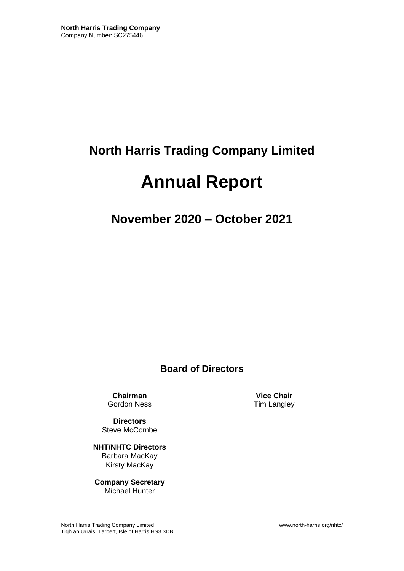## **North Harris Trading Company Limited**

# **Annual Report**

**November 2020 – October 2021**

**Board of Directors**

**Chairman Vice Chair**<br> **Cordon Ness Cordon Ness Tim Langley** 

**Directors** Steve McCombe

**NHT/NHTC Directors** Barbara MacKay Kirsty MacKay

**Company Secretary** Michael Hunter

Tim Langley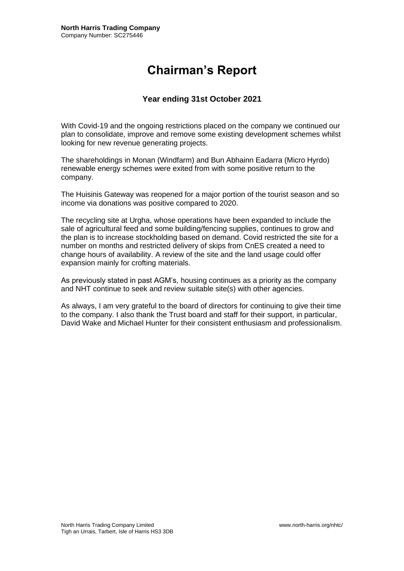## **Chairman's Report**

#### **Year ending 31st October 2021**

With Covid-19 and the ongoing restrictions placed on the company we continued our plan to consolidate, improve and remove some existing development schemes whilst looking for new revenue generating projects.

The shareholdings in Monan (Windfarm) and Bun Abhainn Eadarra (Micro Hyrdo) renewable energy schemes were exited from with some positive return to the company.

The Huisinis Gateway was reopened for a major portion of the tourist season and so income via donations was positive compared to 2020.

The recycling site at Urgha, whose operations have been expanded to include the sale of agricultural feed and some building/fencing supplies, continues to grow and the plan is to increase stockholding based on demand. Covid restricted the site for a number on months and restricted delivery of skips from CnES created a need to change hours of availability. A review of the site and the land usage could offer expansion mainly for crofting materials.

As previously stated in past AGM's, housing continues as a priority as the company and NHT continue to seek and review suitable site(s) with other agencies.

As always, I am very grateful to the board of directors for continuing to give their time to the company. I also thank the Trust board and staff for their support, in particular, David Wake and Michael Hunter for their consistent enthusiasm and professionalism.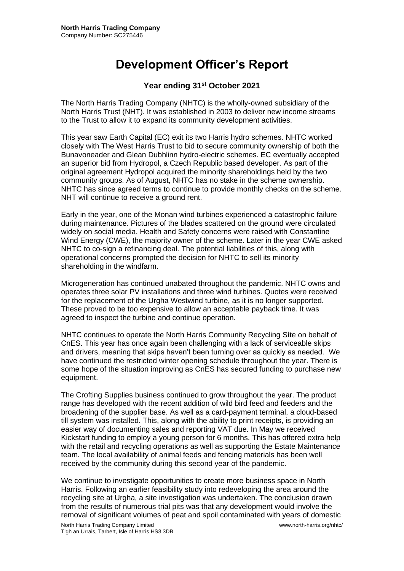## **Development Officer's Report**

#### **Year ending 31st October 2021**

The North Harris Trading Company (NHTC) is the wholly-owned subsidiary of the North Harris Trust (NHT). It was established in 2003 to deliver new income streams to the Trust to allow it to expand its community development activities.

This year saw Earth Capital (EC) exit its two Harris hydro schemes. NHTC worked closely with The West Harris Trust to bid to secure community ownership of both the Bunavoneader and Glean Dubhlinn hydro-electric schemes. EC eventually accepted an superior bid from Hydropol, a Czech Republic based developer. As part of the original agreement Hydropol acquired the minority shareholdings held by the two community groups. As of August, NHTC has no stake in the scheme ownership. NHTC has since agreed terms to continue to provide monthly checks on the scheme. NHT will continue to receive a ground rent.

Early in the year, one of the Monan wind turbines experienced a catastrophic failure during maintenance. Pictures of the blades scattered on the ground were circulated widely on social media. Health and Safety concerns were raised with Constantine Wind Energy (CWE), the majority owner of the scheme. Later in the year CWE asked NHTC to co-sign a refinancing deal. The potential liabilities of this, along with operational concerns prompted the decision for NHTC to sell its minority shareholding in the windfarm.

Microgeneration has continued unabated throughout the pandemic. NHTC owns and operates three solar PV installations and three wind turbines. Quotes were received for the replacement of the Urgha Westwind turbine, as it is no longer supported. These proved to be too expensive to allow an acceptable payback time. It was agreed to inspect the turbine and continue operation.

NHTC continues to operate the North Harris Community Recycling S**i**te on behalf of CnES. This year has once again been challenging with a lack of serviceable skips and drivers, meaning that skips haven't been turning over as quickly as needed. We have continued the restricted winter opening schedule throughout the year. There is some hope of the situation improving as CnES has secured funding to purchase new equipment.

The Crofting Supplies business continued to grow throughout the year. The product range has developed with the recent addition of wild bird feed and feeders and the broadening of the supplier base. As well as a card-payment terminal, a cloud-based till system was installed. This, along with the ability to print receipts, is providing an easier way of documenting sales and reporting VAT due. In May we received Kickstart funding to employ a young person for 6 months. This has offered extra help with the retail and recycling operations as well as supporting the Estate Maintenance team. The local availability of animal feeds and fencing materials has been well received by the community during this second year of the pandemic.

We continue to investigate opportunities to create more business space in North Harris. Following an earlier feasibility study into redeveloping the area around the recycling site at Urgha, a site investigation was undertaken. The conclusion drawn from the results of numerous trial pits was that any development would involve the removal of significant volumes of peat and spoil contaminated with years of domestic